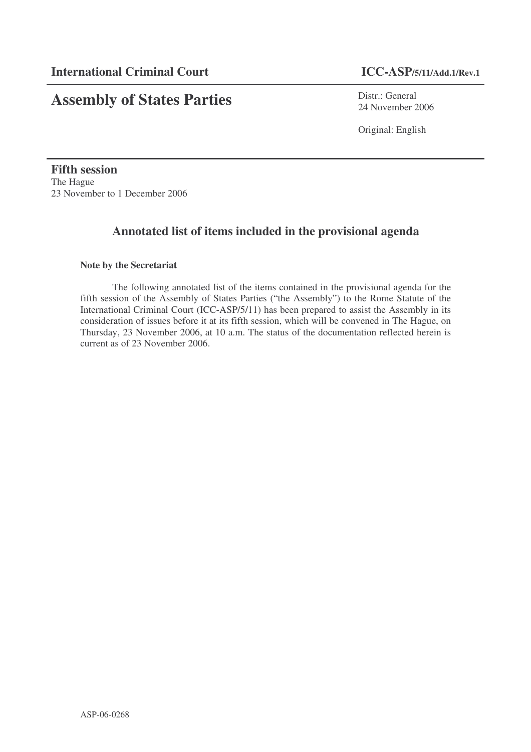# **Assembly of States Parties**

Distr.: General 24 November 2006

Original: English

**Fifth session** The Hague 23 November to 1 December 2006

# **Annotated list of items included in the provisional agenda**

# **Note by the Secretariat**

The following annotated list of the items contained in the provisional agenda for the fifth session of the Assembly of States Parties ("the Assembly") to the Rome Statute of the International Criminal Court (ICC-ASP/5/11) has been prepared to assist the Assembly in its consideration of issues before it at its fifth session, which will be convened in The Hague, on Thursday, 23 November 2006, at 10 a.m. The status of the documentation reflected herein is current as of 23 November 2006.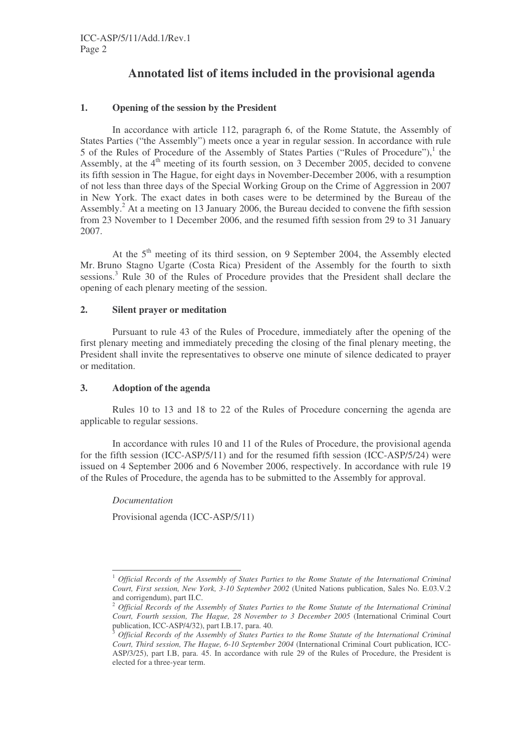# **Annotated list of items included in the provisional agenda**

# **1. Opening of the session by the President**

In accordance with article 112, paragraph 6, of the Rome Statute, the Assembly of States Parties ("the Assembly") meets once a year in regular session. In accordance with rule 5 of the Rules of Procedure of the Assembly of States Parties ("Rules of Procedure"),<sup>1</sup> the Assembly, at the 4<sup>th</sup> meeting of its fourth session, on 3 December 2005, decided to convene its fifth session in The Hague, for eight days in November-December 2006, with a resumption of not less than three days of the Special Working Group on the Crime of Aggression in 2007 in New York. The exact dates in both cases were to be determined by the Bureau of the Assembly.<sup>2</sup> At a meeting on 13 January 2006, the Bureau decided to convene the fifth session from 23 November to 1 December 2006, and the resumed fifth session from 29 to 31 January 2007.

At the 5<sup>th</sup> meeting of its third session, on 9 September 2004, the Assembly elected Mr. Bruno Stagno Ugarte (Costa Rica) President of the Assembly for the fourth to sixth sessions.<sup>3</sup> Rule 30 of the Rules of Procedure provides that the President shall declare the opening of each plenary meeting of the session.

# **2. Silent prayer or meditation**

Pursuant to rule 43 of the Rules of Procedure, immediately after the opening of the first plenary meeting and immediately preceding the closing of the final plenary meeting, the President shall invite the representatives to observe one minute of silence dedicated to prayer or meditation.

# **3. Adoption of the agenda**

Rules 10 to 13 and 18 to 22 of the Rules of Procedure concerning the agenda are applicable to regular sessions.

In accordance with rules 10 and 11 of the Rules of Procedure, the provisional agenda for the fifth session (ICC-ASP/5/11) and for the resumed fifth session (ICC-ASP/5/24) were issued on 4 September 2006 and 6 November 2006, respectively. In accordance with rule 19 of the Rules of Procedure, the agenda has to be submitted to the Assembly for approval.

*Documentation* Provisional agenda (ICC-ASP/5/11)

<sup>1</sup> *Official Records of the Assembly of States Parties to the Rome Statute of the International Criminal Court, First session, New York, 3-10 September 2002* (United Nations publication, Sales No. E.03.V.2 and corrigendum), part II.C.

<sup>2</sup> *Official Records of the Assembly of States Parties to the Rome Statute of the International Criminal Court, Fourth session, The Hague, 28 November to 3 December 2005* (International Criminal Court publication, ICC-ASP/4/32), part I.B.17, para. 40.

<sup>3</sup> *Official Records of the Assembly of States Parties to the Rome Statute of the International Criminal Court, Third session, The Hague, 6-10 September 2004* (International Criminal Court publication, ICC-ASP/3/25), part I.B, para. 45. In accordance with rule 29 of the Rules of Procedure, the President is elected for a three-year term.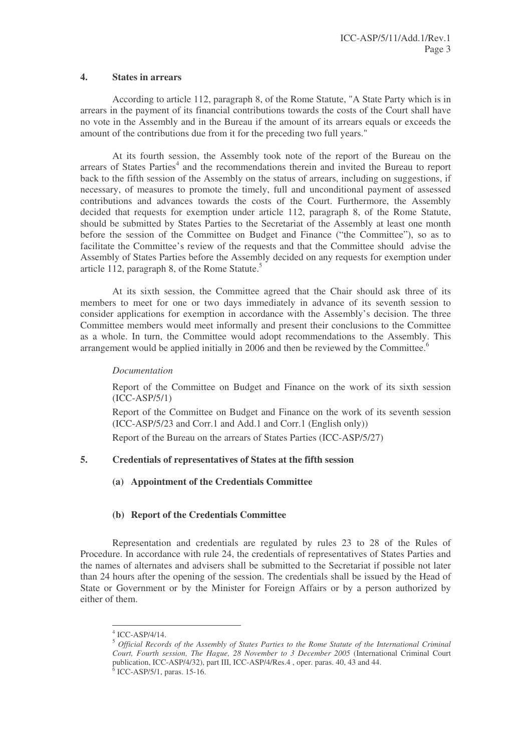# **4. States in arrears**

According to article 112, paragraph 8, of the Rome Statute, "A State Party which is in arrears in the payment of its financial contributions towards the costs of the Court shall have no vote in the Assembly and in the Bureau if the amount of its arrears equals or exceeds the amount of the contributions due from it for the preceding two full years."

At its fourth session, the Assembly took note of the report of the Bureau on the arrears of States Parties<sup>4</sup> and the recommendations therein and invited the Bureau to report back to the fifth session of the Assembly on the status of arrears, including on suggestions, if necessary, of measures to promote the timely, full and unconditional payment of assessed contributions and advances towards the costs of the Court. Furthermore, the Assembly decided that requests for exemption under article 112, paragraph 8, of the Rome Statute, should be submitted by States Parties to the Secretariat of the Assembly at least one month before the session of the Committee on Budget and Finance ("the Committee"), so as to facilitate the Committee's review of the requests and that the Committee should advise the Assembly of States Parties before the Assembly decided on any requests for exemption under article 112, paragraph 8, of the Rome Statute.<sup>5</sup>

At its sixth session, the Committee agreed that the Chair should ask three of its members to meet for one or two days immediately in advance of its seventh session to consider applications for exemption in accordance with the Assembly's decision. The three Committee members would meet informally and present their conclusions to the Committee as a whole. In turn, the Committee would adopt recommendations to the Assembly. This arrangement would be applied initially in 2006 and then be reviewed by the Committee.<sup>6</sup>

# *Documentation*

Report of the Committee on Budget and Finance on the work of its sixth session (ICC-ASP/5/1)

Report of the Committee on Budget and Finance on the work of its seventh session (ICC-ASP/5/23 and Corr.1 and Add.1 and Corr.1 (English only))

Report of the Bureau on the arrears of States Parties (ICC-ASP/5/27)

# **5. Credentials of representatives of States at the fifth session**

# **(a) Appointment of the Credentials Committee**

# **(b) Report of the Credentials Committee**

Representation and credentials are regulated by rules 23 to 28 of the Rules of Procedure. In accordance with rule 24, the credentials of representatives of States Parties and the names of alternates and advisers shall be submitted to the Secretariat if possible not later than 24 hours after the opening of the session. The credentials shall be issued by the Head of State or Government or by the Minister for Foreign Affairs or by a person authorized by either of them.

<sup>4</sup> ICC-ASP/4/14.

<sup>5</sup> *Official Records of the Assembly of States Parties to the Rome Statute of the International Criminal Court, Fourth session, The Hague, 28 November to 3 December 2005* (International Criminal Court publication, ICC-ASP/4/32), part III, ICC-ASP/4/Res.4 , oper. paras. 40, 43 and 44.

 $6$  ICC-ASP/5/1, paras. 15-16.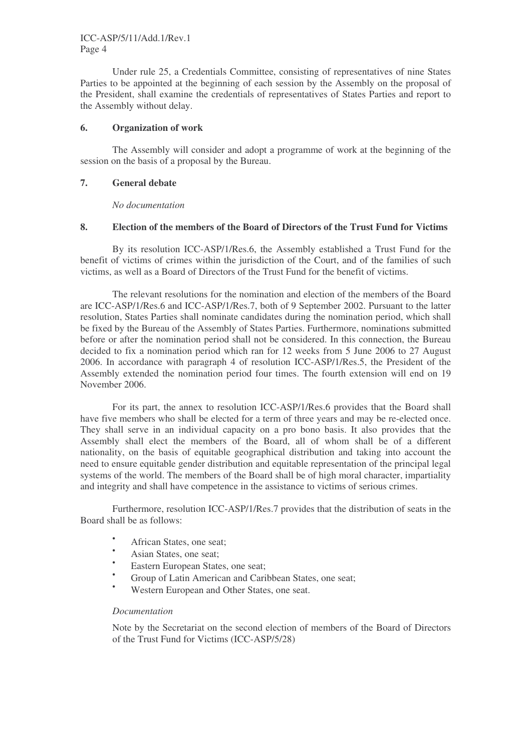Under rule 25, a Credentials Committee, consisting of representatives of nine States Parties to be appointed at the beginning of each session by the Assembly on the proposal of the President, shall examine the credentials of representatives of States Parties and report to the Assembly without delay.

# **6. Organization of work**

The Assembly will consider and adopt a programme of work at the beginning of the session on the basis of a proposal by the Bureau.

# **7. General debate**

*No documentation*

# **8. Election of the members of the Board of Directors of the Trust Fund for Victims**

By its resolution ICC-ASP/1/Res.6, the Assembly established a Trust Fund for the benefit of victims of crimes within the jurisdiction of the Court, and of the families of such victims, as well as a Board of Directors of the Trust Fund for the benefit of victims.

The relevant resolutions for the nomination and election of the members of the Board are ICC-ASP/1/Res.6 and ICC-ASP/1/Res.7, both of 9 September 2002. Pursuant to the latter resolution, States Parties shall nominate candidates during the nomination period, which shall be fixed by the Bureau of the Assembly of States Parties. Furthermore, nominations submitted before or after the nomination period shall not be considered. In this connection, the Bureau decided to fix a nomination period which ran for 12 weeks from 5 June 2006 to 27 August 2006. In accordance with paragraph 4 of resolution ICC-ASP/1/Res.5, the President of the Assembly extended the nomination period four times. The fourth extension will end on 19 November 2006.

For its part, the annex to resolution ICC-ASP/1/Res.6 provides that the Board shall have five members who shall be elected for a term of three years and may be re-elected once. They shall serve in an individual capacity on a pro bono basis. It also provides that the Assembly shall elect the members of the Board, all of whom shall be of a different nationality, on the basis of equitable geographical distribution and taking into account the need to ensure equitable gender distribution and equitable representation of the principal legal systems of the world. The members of the Board shall be of high moral character, impartiality and integrity and shall have competence in the assistance to victims of serious crimes.

Furthermore, resolution ICC-ASP/1/Res.7 provides that the distribution of seats in the Board shall be as follows:

- African States, one seat;
- Asian States, one seat;
- Eastern European States, one seat;
- Group of Latin American and Caribbean States, one seat;
- Western European and Other States, one seat.

#### *Documentation*

Note by the Secretariat on the second election of members of the Board of Directors of the Trust Fund for Victims (ICC-ASP/5/28)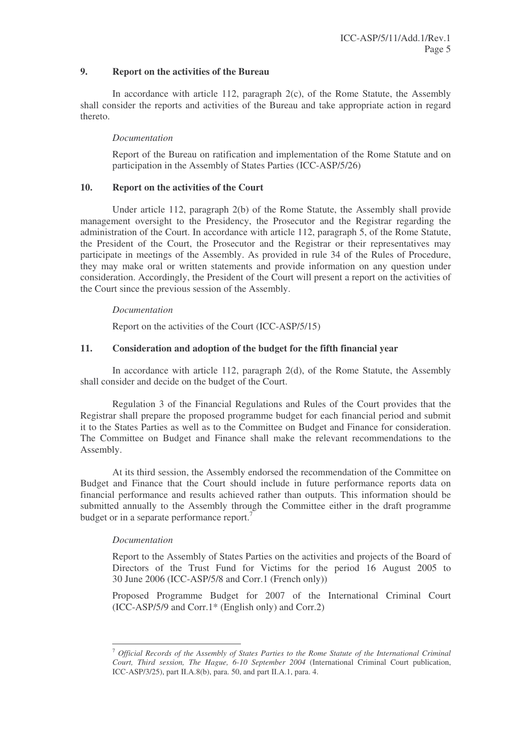# **9. Report on the activities of the Bureau**

In accordance with article 112, paragraph  $2(c)$ , of the Rome Statute, the Assembly shall consider the reports and activities of the Bureau and take appropriate action in regard thereto.

# *Documentation*

Report of the Bureau on ratification and implementation of the Rome Statute and on participation in the Assembly of States Parties (ICC-ASP/5/26)

### **10. Report on the activities of the Court**

Under article 112, paragraph 2(b) of the Rome Statute, the Assembly shall provide management oversight to the Presidency, the Prosecutor and the Registrar regarding the administration of the Court. In accordance with article 112, paragraph 5, of the Rome Statute, the President of the Court, the Prosecutor and the Registrar or their representatives may participate in meetings of the Assembly. As provided in rule 34 of the Rules of Procedure, they may make oral or written statements and provide information on any question under consideration. Accordingly, the President of the Court will present a report on the activities of the Court since the previous session of the Assembly.

# *Documentation*

Report on the activities of the Court (ICC-ASP/5/15)

# **11. Consideration and adoption of the budget for the fifth financial year**

In accordance with article 112, paragraph 2(d), of the Rome Statute, the Assembly shall consider and decide on the budget of the Court.

Regulation 3 of the Financial Regulations and Rules of the Court provides that the Registrar shall prepare the proposed programme budget for each financial period and submit it to the States Parties as well as to the Committee on Budget and Finance for consideration. The Committee on Budget and Finance shall make the relevant recommendations to the Assembly.

At its third session, the Assembly endorsed the recommendation of the Committee on Budget and Finance that the Court should include in future performance reports data on financial performance and results achieved rather than outputs. This information should be submitted annually to the Assembly through the Committee either in the draft programme budget or in a separate performance report.<sup>7</sup>

#### *Documentation*

Report to the Assembly of States Parties on the activities and projects of the Board of Directors of the Trust Fund for Victims for the period 16 August 2005 to 30 June 2006 (ICC-ASP/5/8 and Corr.1 (French only))

Proposed Programme Budget for 2007 of the International Criminal Court (ICC-ASP/5/9 and Corr.1\* (English only) and Corr.2)

<sup>7</sup> *Official Records of the Assembly of States Parties to the Rome Statute of the International Criminal Court, Third session, The Hague, 6-10 September 2004* (International Criminal Court publication, ICC-ASP/3/25), part II.A.8(b), para. 50, and part II.A.1, para. 4.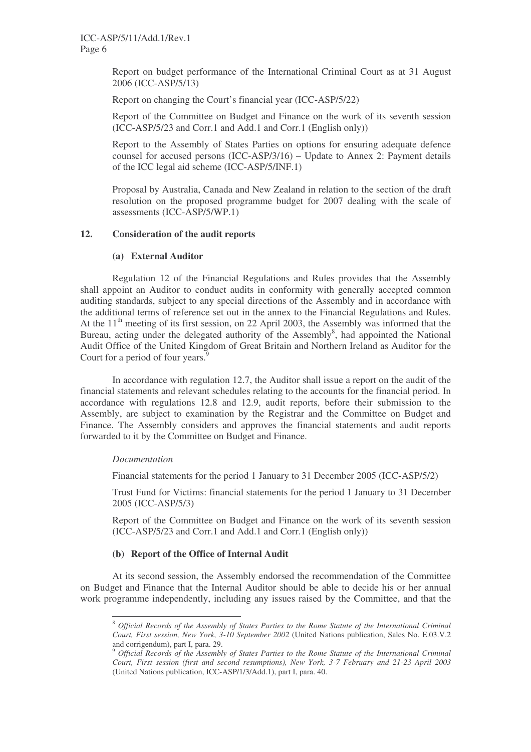Report on budget performance of the International Criminal Court as at 31 August 2006 (ICC-ASP/5/13)

Report on changing the Court's financial year (ICC-ASP/5/22)

Report of the Committee on Budget and Finance on the work of its seventh session (ICC-ASP/5/23 and Corr.1 and Add.1 and Corr.1 (English only))

Report to the Assembly of States Parties on options for ensuring adequate defence counsel for accused persons (ICC-ASP/3/16) – Update to Annex 2: Payment details of the ICC legal aid scheme (ICC-ASP/5/INF.1)

Proposal by Australia, Canada and New Zealand in relation to the section of the draft resolution on the proposed programme budget for 2007 dealing with the scale of assessments (ICC-ASP/5/WP.1)

# **12. Consideration of the audit reports**

#### **(a) External Auditor**

Regulation 12 of the Financial Regulations and Rules provides that the Assembly shall appoint an Auditor to conduct audits in conformity with generally accepted common auditing standards, subject to any special directions of the Assembly and in accordance with the additional terms of reference set out in the annex to the Financial Regulations and Rules. At the  $11<sup>th</sup>$  meeting of its first session, on 22 April 2003, the Assembly was informed that the Bureau, acting under the delegated authority of the Assembly<sup>8</sup>, had appointed the National Audit Office of the United Kingdom of Great Britain and Northern Ireland as Auditor for the Court for a period of four years.<sup>9</sup>

In accordance with regulation 12.7, the Auditor shall issue a report on the audit of the financial statements and relevant schedules relating to the accounts for the financial period. In accordance with regulations 12.8 and 12.9, audit reports, before their submission to the Assembly, are subject to examination by the Registrar and the Committee on Budget and Finance. The Assembly considers and approves the financial statements and audit reports forwarded to it by the Committee on Budget and Finance.

#### *Documentation*

Financial statements for the period 1 January to 31 December 2005 (ICC-ASP/5/2)

Trust Fund for Victims: financial statements for the period 1 January to 31 December 2005 (ICC-ASP/5/3)

Report of the Committee on Budget and Finance on the work of its seventh session (ICC-ASP/5/23 and Corr.1 and Add.1 and Corr.1 (English only))

#### **(b) Report of the Office of Internal Audit**

At its second session, the Assembly endorsed the recommendation of the Committee on Budget and Finance that the Internal Auditor should be able to decide his or her annual work programme independently, including any issues raised by the Committee, and that the

<sup>8</sup> *Official Records of the Assembly of States Parties to the Rome Statute of the International Criminal Court, First session, New York, 3-10 September 2002* (United Nations publication, Sales No. E.03.V.2 and corrigendum), part I, para. 29.

<sup>9</sup> *Official Records of the Assembly of States Parties to the Rome Statute of the International Criminal Court, First session (first and second resumptions), New York, 3-7 February and 21-23 April 2003* (United Nations publication, ICC-ASP/1/3/Add.1), part I, para. 40.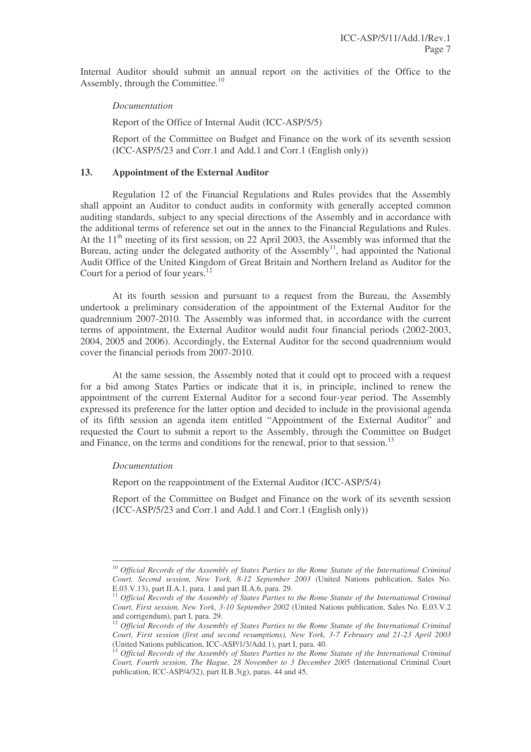Internal Auditor should submit an annual report on the activities of the Office to the Assembly, through the Committee.<sup>10</sup>

#### *Documentation*

Report of the Office of Internal Audit (ICC-ASP/5/5)

Report of the Committee on Budget and Finance on the work of its seventh session (ICC-ASP/5/23 and Corr.1 and Add.1 and Corr.1 (English only))

### **13. Appointment of the External Auditor**

Regulation 12 of the Financial Regulations and Rules provides that the Assembly shall appoint an Auditor to conduct audits in conformity with generally accepted common auditing standards, subject to any special directions of the Assembly and in accordance with the additional terms of reference set out in the annex to the Financial Regulations and Rules. At the  $11<sup>th</sup>$  meeting of its first session, on 22 April 2003, the Assembly was informed that the Bureau, acting under the delegated authority of the Assembly<sup>11</sup>, had appointed the National Audit Office of the United Kingdom of Great Britain and Northern Ireland as Auditor for the Court for a period of four years.<sup>12</sup>

At its fourth session and pursuant to a request from the Bureau, the Assembly undertook a preliminary consideration of the appointment of the External Auditor for the quadrennium 2007-2010. The Assembly was informed that, in accordance with the current terms of appointment, the External Auditor would audit four financial periods (2002-2003, 2004, 2005 and 2006). Accordingly, the External Auditor for the second quadrennium would cover the financial periods from 2007-2010.

At the same session, the Assembly noted that it could opt to proceed with a request for a bid among States Parties or indicate that it is, in principle, inclined to renew the appointment of the current External Auditor for a second four-year period. The Assembly expressed its preference for the latter option and decided to include in the provisional agenda of its fifth session an agenda item entitled "Appointment of the External Auditor" and requested the Court to submit a report to the Assembly, through the Committee on Budget and Finance, on the terms and conditions for the renewal, prior to that session.<sup>13</sup>

#### *Documentation*

Report on the reappointment of the External Auditor (ICC-ASP/5/4)

Report of the Committee on Budget and Finance on the work of its seventh session (ICC-ASP/5/23 and Corr.1 and Add.1 and Corr.1 (English only))

<sup>10</sup> *Official Records of the Assembly of States Parties to the Rome Statute of the International Criminal Court, Second session, New York, 8-12 September 2003* (United Nations publication, Sales No. E.03.V.13), part II.A.1, para. 1 and part II.A.6, para. 29.

<sup>11</sup> *Official Records of the Assembly of States Parties to the Rome Statute of the International Criminal Court, First session, New York, 3-10 September 2002* (United Nations publication, Sales No. E.03.V.2 and corrigendum), part I, para. 29.

<sup>12</sup> *Official Records of the Assembly of States Parties to the Rome Statute of the International Criminal Court, First session (first and second resumptions), New York, 3-7 February and 21-23 April 2003* (United Nations publication, ICC-ASP/1/3/Add.1), part I, para. 40.

<sup>13</sup> *Official Records of the Assembly of States Parties to the Rome Statute of the International Criminal Court, Fourth session, The Hague, 28 November to 3 December 2005* (International Criminal Court publication, ICC-ASP/4/32), part II.B.3(g), paras. 44 and 45.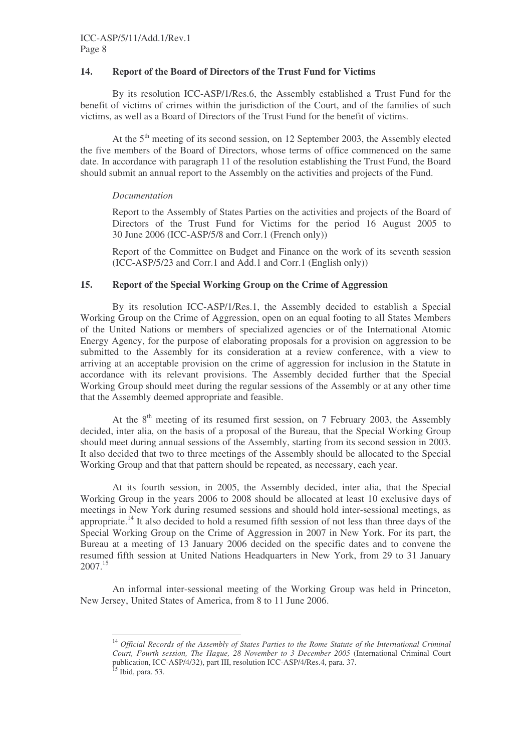# **14. Report of the Board of Directors of the Trust Fund for Victims**

By its resolution ICC-ASP/1/Res.6, the Assembly established a Trust Fund for the benefit of victims of crimes within the jurisdiction of the Court, and of the families of such victims, as well as a Board of Directors of the Trust Fund for the benefit of victims.

At the 5<sup>th</sup> meeting of its second session, on 12 September 2003, the Assembly elected the five members of the Board of Directors, whose terms of office commenced on the same date. In accordance with paragraph 11 of the resolution establishing the Trust Fund, the Board should submit an annual report to the Assembly on the activities and projects of the Fund.

# *Documentation*

Report to the Assembly of States Parties on the activities and projects of the Board of Directors of the Trust Fund for Victims for the period 16 August 2005 to 30 June 2006 (ICC-ASP/5/8 and Corr.1 (French only))

Report of the Committee on Budget and Finance on the work of its seventh session (ICC-ASP/5/23 and Corr.1 and Add.1 and Corr.1 (English only))

# **15. Report of the Special Working Group on the Crime of Aggression**

By its resolution ICC-ASP/1/Res.1, the Assembly decided to establish a Special Working Group on the Crime of Aggression, open on an equal footing to all States Members of the United Nations or members of specialized agencies or of the International Atomic Energy Agency, for the purpose of elaborating proposals for a provision on aggression to be submitted to the Assembly for its consideration at a review conference, with a view to arriving at an acceptable provision on the crime of aggression for inclusion in the Statute in accordance with its relevant provisions. The Assembly decided further that the Special Working Group should meet during the regular sessions of the Assembly or at any other time that the Assembly deemed appropriate and feasible.

At the  $8<sup>th</sup>$  meeting of its resumed first session, on 7 February 2003, the Assembly decided, inter alia, on the basis of a proposal of the Bureau, that the Special Working Group should meet during annual sessions of the Assembly, starting from its second session in 2003. It also decided that two to three meetings of the Assembly should be allocated to the Special Working Group and that that pattern should be repeated, as necessary, each year.

At its fourth session, in 2005, the Assembly decided, inter alia, that the Special Working Group in the years 2006 to 2008 should be allocated at least 10 exclusive days of meetings in New York during resumed sessions and should hold inter-sessional meetings, as appropriate.<sup>14</sup> It also decided to hold a resumed fifth session of not less than three days of the Special Working Group on the Crime of Aggression in 2007 in New York. For its part, the Bureau at a meeting of 13 January 2006 decided on the specific dates and to convene the resumed fifth session at United Nations Headquarters in New York, from 29 to 31 January 2007. 15

An informal inter-sessional meeting of the Working Group was held in Princeton, New Jersey, United States of America, from 8 to 11 June 2006.

<sup>14</sup> *Official Records of the Assembly of States Parties to the Rome Statute of the International Criminal Court, Fourth session, The Hague, 28 November to 3 December 2005* (International Criminal Court publication, ICC-ASP/4/32), part III, resolution ICC-ASP/4/Res.4, para. 37.<br><sup>15</sup> Ibid, para. 53.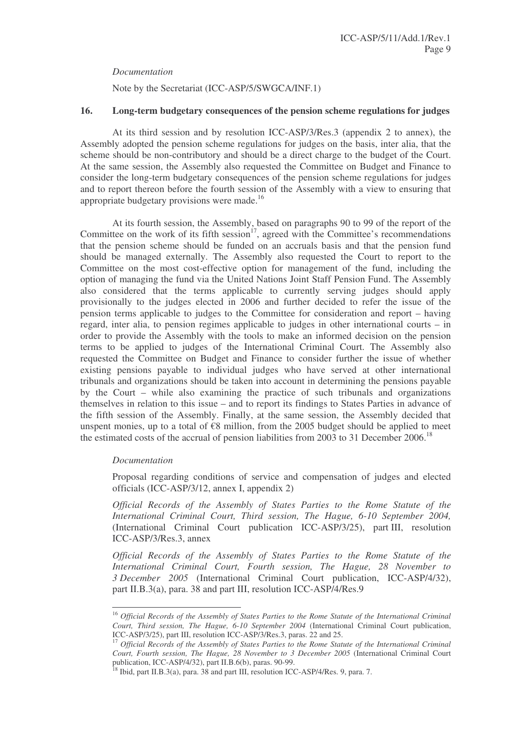*Documentation*

Note by the Secretariat (ICC-ASP/5/SWGCA/INF.1)

# **16. Long-term budgetary consequences of the pension scheme regulations for judges**

At its third session and by resolution ICC-ASP/3/Res.3 (appendix 2 to annex), the Assembly adopted the pension scheme regulations for judges on the basis, inter alia, that the scheme should be non-contributory and should be a direct charge to the budget of the Court. At the same session, the Assembly also requested the Committee on Budget and Finance to consider the long-term budgetary consequences of the pension scheme regulations for judges and to report thereon before the fourth session of the Assembly with a view to ensuring that appropriate budgetary provisions were made.<sup>16</sup>

At its fourth session, the Assembly, based on paragraphs 90 to 99 of the report of the Committee on the work of its fifth session<sup>17</sup>, agreed with the Committee's recommendations that the pension scheme should be funded on an accruals basis and that the pension fund should be managed externally. The Assembly also requested the Court to report to the Committee on the most cost-effective option for management of the fund, including the option of managing the fund via the United Nations Joint Staff Pension Fund. The Assembly also considered that the terms applicable to currently serving judges should apply provisionally to the judges elected in 2006 and further decided to refer the issue of the pension terms applicable to judges to the Committee for consideration and report – having regard, inter alia, to pension regimes applicable to judges in other international courts – in order to provide the Assembly with the tools to make an informed decision on the pension terms to be applied to judges of the International Criminal Court. The Assembly also requested the Committee on Budget and Finance to consider further the issue of whether existing pensions payable to individual judges who have served at other international tribunals and organizations should be taken into account in determining the pensions payable by the Court – while also examining the practice of such tribunals and organizations themselves in relation to this issue – and to report its findings to States Parties in advance of the fifth session of the Assembly. Finally, at the same session, the Assembly decided that unspent monies, up to a total of  $\epsilon$ 8 million, from the 2005 budget should be applied to meet the estimated costs of the accrual of pension liabilities from 2003 to 31 December 2006.<sup>18</sup>

#### *Documentation*

Proposal regarding conditions of service and compensation of judges and elected officials (ICC-ASP/3/12, annex I, appendix 2)

*Official Records of the Assembly of States Parties to the Rome Statute of the International Criminal Court, Third session, The Hague, 6-10 September 2004,* (International Criminal Court publication ICC-ASP/3/25), part III, resolution ICC-ASP/3/Res.3, annex

*Official Records of the Assembly of States Parties to the Rome Statute of the International Criminal Court, Fourth session, The Hague, 28 November to 3 December 2005* (International Criminal Court publication, ICC-ASP/4/32), part II.B.3(a), para. 38 and part III, resolution ICC-ASP/4/Res.9

<sup>16</sup> *Official Records of the Assembly of States Parties to the Rome Statute of the International Criminal Court, Third session, The Hague, 6-10 September 2004* (International Criminal Court publication, ICC-ASP/3/25), part III, resolution ICC-ASP/3/Res.3, paras. 22 and 25.

<sup>17</sup> *Official Records of the Assembly of States Parties to the Rome Statute of the International Criminal Court, Fourth session, The Hague, 28 November to 3 December 2005* (International Criminal Court

publication, ICC-ASP/4/32), part II.B.6(b), paras. 90-99.<br><sup>18</sup> Ibid, part II.B.3(a), para. 38 and part III, resolution ICC-ASP/4/Res. 9, para. 7.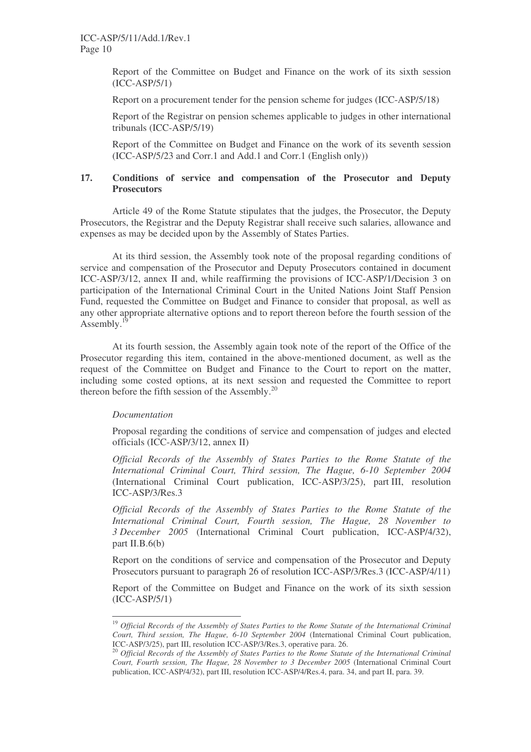Report of the Committee on Budget and Finance on the work of its sixth session (ICC-ASP/5/1)

Report on a procurement tender for the pension scheme for judges (ICC-ASP/5/18)

Report of the Registrar on pension schemes applicable to judges in other international tribunals (ICC-ASP/5/19)

Report of the Committee on Budget and Finance on the work of its seventh session (ICC-ASP/5/23 and Corr.1 and Add.1 and Corr.1 (English only))

# **17. Conditions of service and compensation of the Prosecutor and Deputy Prosecutors**

Article 49 of the Rome Statute stipulates that the judges, the Prosecutor, the Deputy Prosecutors, the Registrar and the Deputy Registrar shall receive such salaries, allowance and expenses as may be decided upon by the Assembly of States Parties.

At its third session, the Assembly took note of the proposal regarding conditions of service and compensation of the Prosecutor and Deputy Prosecutors contained in document ICC-ASP/3/12, annex II and, while reaffirming the provisions of ICC-ASP/1/Decision 3 on participation of the International Criminal Court in the United Nations Joint Staff Pension Fund, requested the Committee on Budget and Finance to consider that proposal, as well as any other appropriate alternative options and to report thereon before the fourth session of the Assembly.<sup>19</sup>

At its fourth session, the Assembly again took note of the report of the Office of the Prosecutor regarding this item, contained in the above-mentioned document, as well as the request of the Committee on Budget and Finance to the Court to report on the matter, including some costed options, at its next session and requested the Committee to report thereon before the fifth session of the Assembly.<sup>20</sup>

#### *Documentation*

Proposal regarding the conditions of service and compensation of judges and elected officials (ICC-ASP/3/12, annex II)

*Official Records of the Assembly of States Parties to the Rome Statute of the International Criminal Court, Third session, The Hague, 6-10 September 2004* (International Criminal Court publication, ICC-ASP/3/25), part III, resolution ICC-ASP/3/Res.3

*Official Records of the Assembly of States Parties to the Rome Statute of the International Criminal Court, Fourth session, The Hague, 28 November to 3 December 2005* (International Criminal Court publication, ICC-ASP/4/32), part II.B. $6(b)$ 

Report on the conditions of service and compensation of the Prosecutor and Deputy Prosecutors pursuant to paragraph 26 of resolution ICC-ASP/3/Res.3 (ICC-ASP/4/11)

Report of the Committee on Budget and Finance on the work of its sixth session (ICC-ASP/5/1)

<sup>19</sup> *Official Records of the Assembly of States Parties to the Rome Statute of the International Criminal Court, Third session, The Hague, 6-10 September 2004* (International Criminal Court publication, ICC-ASP/3/25), part III, resolution ICC-ASP/3/Res.3, operative para. 26.

<sup>20</sup> *Official Records of the Assembly of States Parties to the Rome Statute of the International Criminal Court, Fourth session, The Hague, 28 November to 3 December 2005* (International Criminal Court publication, ICC-ASP/4/32), part III, resolution ICC-ASP/4/Res.4, para. 34, and part II, para. 39.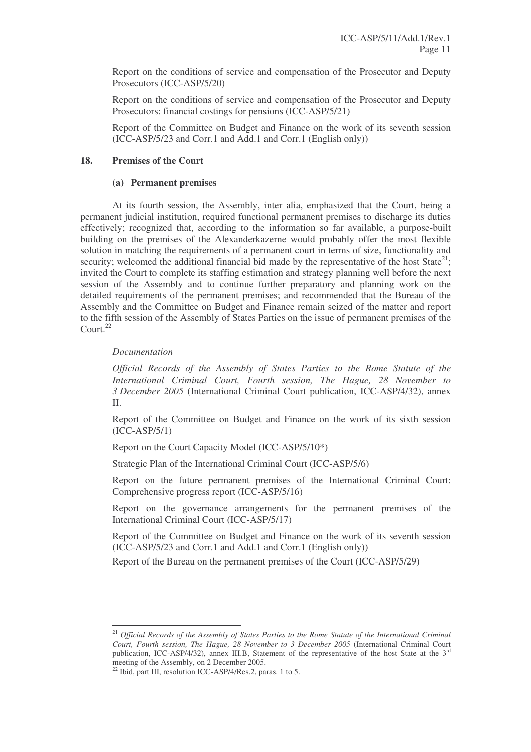Report on the conditions of service and compensation of the Prosecutor and Deputy Prosecutors (ICC-ASP/5/20)

Report on the conditions of service and compensation of the Prosecutor and Deputy Prosecutors: financial costings for pensions (ICC-ASP/5/21)

Report of the Committee on Budget and Finance on the work of its seventh session (ICC-ASP/5/23 and Corr.1 and Add.1 and Corr.1 (English only))

# **18. Premises of the Court**

#### **(a) Permanent premises**

At its fourth session, the Assembly, inter alia, emphasized that the Court, being a permanent judicial institution, required functional permanent premises to discharge its duties effectively; recognized that, according to the information so far available, a purpose-built building on the premises of the Alexanderkazerne would probably offer the most flexible solution in matching the requirements of a permanent court in terms of size, functionality and security; welcomed the additional financial bid made by the representative of the host State<sup>21</sup>; invited the Court to complete its staffing estimation and strategy planning well before the next session of the Assembly and to continue further preparatory and planning work on the detailed requirements of the permanent premises; and recommended that the Bureau of the Assembly and the Committee on Budget and Finance remain seized of the matter and report to the fifth session of the Assembly of States Parties on the issue of permanent premises of the Court. 22

#### *Documentation*

*Official Records of the Assembly of States Parties to the Rome Statute of the International Criminal Court, Fourth session, The Hague, 28 November to 3 December 2005* (International Criminal Court publication, ICC-ASP/4/32), annex II.

Report of the Committee on Budget and Finance on the work of its sixth session (ICC-ASP/5/1)

Report on the Court Capacity Model (ICC-ASP/5/10\*)

Strategic Plan of the International Criminal Court (ICC-ASP/5/6)

Report on the future permanent premises of the International Criminal Court: Comprehensive progress report (ICC-ASP/5/16)

Report on the governance arrangements for the permanent premises of the International Criminal Court (ICC-ASP/5/17)

Report of the Committee on Budget and Finance on the work of its seventh session (ICC-ASP/5/23 and Corr.1 and Add.1 and Corr.1 (English only))

Report of the Bureau on the permanent premises of the Court (ICC-ASP/5/29)

<sup>21</sup> *Official Records of the Assembly of States Parties to the Rome Statute of the International Criminal Court, Fourth session, The Hague, 28 November to 3 December 2005* (International Criminal Court publication, ICC-ASP/4/32), annex III.B, Statement of the representative of the host State at the 3<sup>rd</sup> meeting of the Assembly, on 2 December 2005.

<sup>&</sup>lt;sup>22</sup> Ibid, part III, resolution ICC-ASP/4/Res.2, paras. 1 to 5.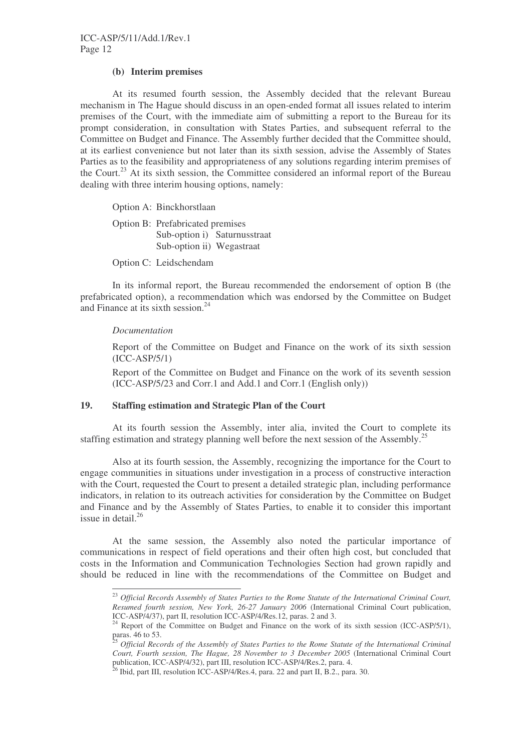### **(b) Interim premises**

At its resumed fourth session, the Assembly decided that the relevant Bureau mechanism in The Hague should discuss in an open-ended format all issues related to interim premises of the Court, with the immediate aim of submitting a report to the Bureau for its prompt consideration, in consultation with States Parties, and subsequent referral to the Committee on Budget and Finance. The Assembly further decided that the Committee should, at its earliest convenience but not later than its sixth session, advise the Assembly of States Parties as to the feasibility and appropriateness of any solutions regarding interim premises of the Court.<sup>23</sup> At its sixth session, the Committee considered an informal report of the Bureau dealing with three interim housing options, namely:

Option A: Binckhorstlaan

Option B: Prefabricated premises Sub-option i) Saturnusstraat Sub-option ii) Wegastraat

Option C: Leidschendam

In its informal report, the Bureau recommended the endorsement of option B (the prefabricated option), a recommendation which was endorsed by the Committee on Budget and Finance at its sixth session.<sup>24</sup>

#### *Documentation*

Report of the Committee on Budget and Finance on the work of its sixth session (ICC-ASP/5/1)

Report of the Committee on Budget and Finance on the work of its seventh session (ICC-ASP/5/23 and Corr.1 and Add.1 and Corr.1 (English only))

# **19. Staffing estimation and Strategic Plan of the Court**

At its fourth session the Assembly, inter alia, invited the Court to complete its staffing estimation and strategy planning well before the next session of the Assembly.<sup>25</sup>

Also at its fourth session, the Assembly, recognizing the importance for the Court to engage communities in situations under investigation in a process of constructive interaction with the Court, requested the Court to present a detailed strategic plan, including performance indicators, in relation to its outreach activities for consideration by the Committee on Budget and Finance and by the Assembly of States Parties, to enable it to consider this important issue in detail. 26

At the same session, the Assembly also noted the particular importance of communications in respect of field operations and their often high cost, but concluded that costs in the Information and Communication Technologies Section had grown rapidly and should be reduced in line with the recommendations of the Committee on Budget and

<sup>23</sup> *Official Records Assembly of States Parties to the Rome Statute of the International Criminal Court, Resumed fourth session, New York, 26-27 January 2006* (International Criminal Court publication, ICC-ASP/4/37), part II, resolution ICC-ASP/4/Res.12, paras. 2 and 3.

 $24$  Report of the Committee on Budget and Finance on the work of its sixth session (ICC-ASP/5/1), paras. 46 to 53.

<sup>25</sup> *Official Records of the Assembly of States Parties to the Rome Statute of the International Criminal Court, Fourth session, The Hague, 28 November to 3 December 2005* (International Criminal Court

publication, ICC-ASP/4/32), part III, resolution ICC-ASP/4/Res.2, para. 4.<br><sup>26</sup> Ibid, part III, resolution ICC-ASP/4/Res.4, para. 22 and part II, B.2., para. 30.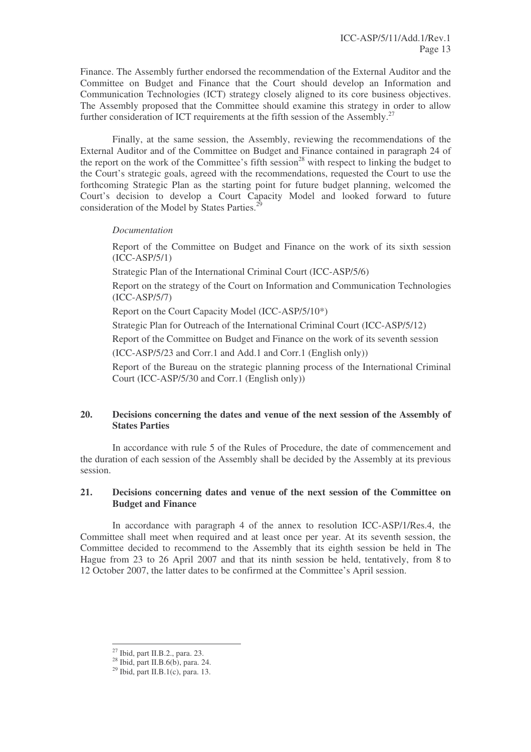Finance. The Assembly further endorsed the recommendation of the External Auditor and the Committee on Budget and Finance that the Court should develop an Information and Communication Technologies (ICT) strategy closely aligned to its core business objectives. The Assembly proposed that the Committee should examine this strategy in order to allow further consideration of ICT requirements at the fifth session of the Assembly.<sup>27</sup>

Finally, at the same session, the Assembly, reviewing the recommendations of the External Auditor and of the Committee on Budget and Finance contained in paragraph 24 of the report on the work of the Committee's fifth session<sup>28</sup> with respect to linking the budget to the Court's strategic goals, agreed with the recommendations, requested the Court to use the forthcoming Strategic Plan as the starting point for future budget planning, welcomed the Court's decision to develop a Court Capacity Model and looked forward to future consideration of the Model by States Parties.<sup>29</sup>

# *Documentation*

Report of the Committee on Budget and Finance on the work of its sixth session (ICC-ASP/5/1)

Strategic Plan of the International Criminal Court (ICC-ASP/5/6)

Report on the strategy of the Court on Information and Communication Technologies (ICC-ASP/5/7)

Report on the Court Capacity Model (ICC-ASP/5/10\*)

Strategic Plan for Outreach of the International Criminal Court (ICC-ASP/5/12)

Report of the Committee on Budget and Finance on the work of its seventh session

(ICC-ASP/5/23 and Corr.1 and Add.1 and Corr.1 (English only))

Report of the Bureau on the strategic planning process of the International Criminal Court (ICC-ASP/5/30 and Corr.1 (English only))

# **20. Decisions concerning the dates and venue of the next session of the Assembly of States Parties**

In accordance with rule 5 of the Rules of Procedure, the date of commencement and the duration of each session of the Assembly shall be decided by the Assembly at its previous session.

# **21. Decisions concerning dates and venue of the next session of the Committee on Budget and Finance**

In accordance with paragraph 4 of the annex to resolution ICC-ASP/1/Res.4, the Committee shall meet when required and at least once per year. At its seventh session, the Committee decided to recommend to the Assembly that its eighth session be held in The Hague from 23 to 26 April 2007 and that its ninth session be held, tentatively, from 8 to 12 October 2007, the latter dates to be confirmed at the Committee's April session.

<sup>&</sup>lt;sup>27</sup> Ibid, part II.B.2., para. 23.

<sup>28</sup> Ibid, part II.B.6(b), para. 24.

<sup>29</sup> Ibid, part II.B.1(c), para. 13.